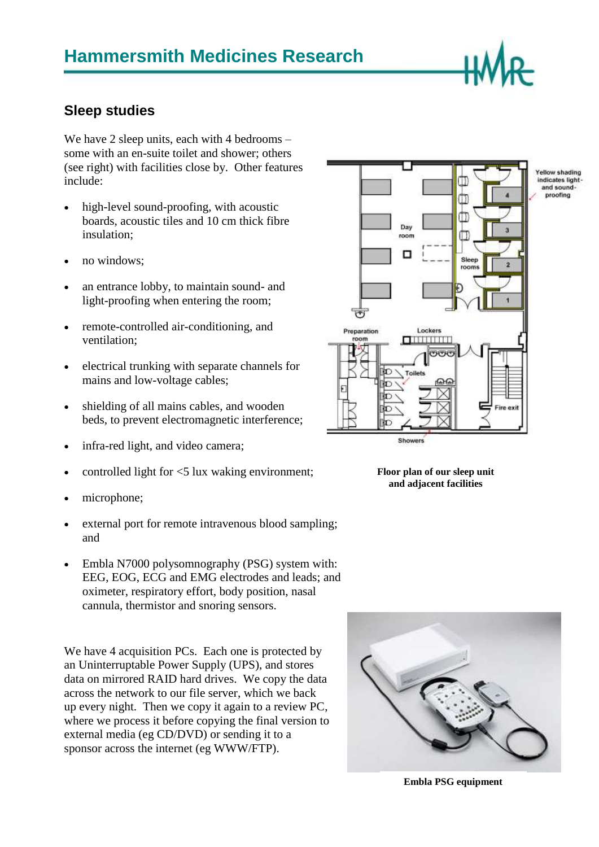

## **Sleep studies**

We have 2 sleep units, each with 4 bedrooms – some with an en-suite toilet and shower; others (see right) with facilities close by. Other features include:

- high-level sound-proofing, with acoustic boards, acoustic tiles and 10 cm thick fibre insulation;
- no windows;
- an entrance lobby, to maintain sound- and light-proofing when entering the room;
- remote-controlled air-conditioning, and ventilation;
- electrical trunking with separate channels for mains and low-voltage cables;
- shielding of all mains cables, and wooden beds, to prevent electromagnetic interference;
- infra-red light, and video camera;
- controlled light for <5 lux waking environment;
- microphone;
- external port for remote intravenous blood sampling; and
- Embla N7000 polysomnography (PSG) system with: EEG, EOG, ECG and EMG electrodes and leads; and oximeter, respiratory effort, body position, nasal cannula, thermistor and snoring sensors.

We have 4 acquisition PCs. Each one is protected by an Uninterruptable Power Supply (UPS), and stores data on mirrored RAID hard drives. We copy the data across the network to our file server, which we back up every night. Then we copy it again to a review PC, where we process it before copying the final version to external media (eg CD/DVD) or sending it to a sponsor across the internet (eg WWW/FTP).







**Embla PSG equipment**

Yellow shading indicates light<br>and soundproofing